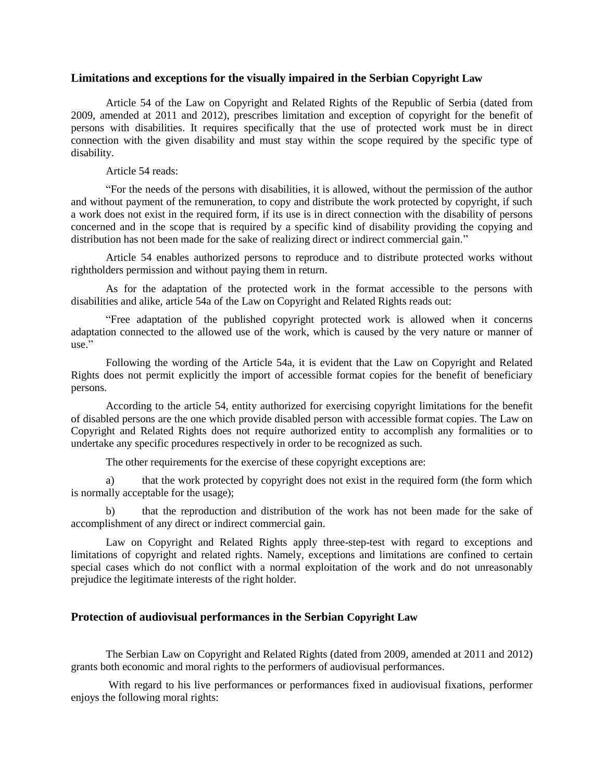## **Limitations and exceptions for the visually impaired in the Serbian Copyright Law**

Article 54 of the Law on Copyright and Related Rights of the Republic of Serbia (dated from 2009, amended at 2011 and 2012), prescribes limitation and exception of copyright for the benefit of persons with disabilities. It requires specifically that the use of protected work must be in direct connection with the given disability and must stay within the scope required by the specific type of disability.

## Article 54 reads:

"For the needs of the persons with disabilities, it is allowed, without the permission of the author and without payment of the remuneration, to copy and distribute the work protected by copyright, if such a work does not exist in the required form, if its use is in direct connection with the disability of persons concerned and in the scope that is required by a specific kind of disability providing the copying and distribution has not been made for the sake of realizing direct or indirect commercial gain."

Article 54 enables authorized persons to reproduce and to distribute protected works without rightholders permission and without paying them in return.

As for the adaptation of the protected work in the format accessible to the persons with disabilities and alike, article 54a of the Law on Copyright and Related Rights reads out:

"Free adaptation of the published copyright protected work is allowed when it concerns adaptation connected to the allowed use of the work, which is caused by the very nature or manner of use."

Following the wording of the Article 54a, it is evident that the Law on Copyright and Related Rights does not permit explicitly the import of accessible format copies for the benefit of beneficiary persons.

According to the article 54, entity authorized for exercising copyright limitations for the benefit of disabled persons are the one which provide disabled person with accessible format copies. The Law on Copyright and Related Rights does not require authorized entity to accomplish any formalities or to undertake any specific procedures respectively in order to be recognized as such.

The other requirements for the exercise of these copyright exceptions are:

a) that the work protected by copyright does not exist in the required form (the form which is normally acceptable for the usage);

b) that the reproduction and distribution of the work has not been made for the sake of accomplishment of any direct or indirect commercial gain.

Law on Copyright and Related Rights apply three-step-test with regard to exceptions and limitations of copyright and related rights. Namely, exceptions and limitations are confined to certain special cases which do not conflict with a normal exploitation of the work and do not unreasonably prejudice the legitimate interests of the right holder.

## **Protection of audiovisual performances in the Serbian Copyright Law**

The Serbian Law on Copyright and Related Rights (dated from 2009, amended at 2011 and 2012) grants both economic and moral rights to the performers of audiovisual performances.

With regard to his live performances or performances fixed in audiovisual fixations, performer enjoys the following moral rights: